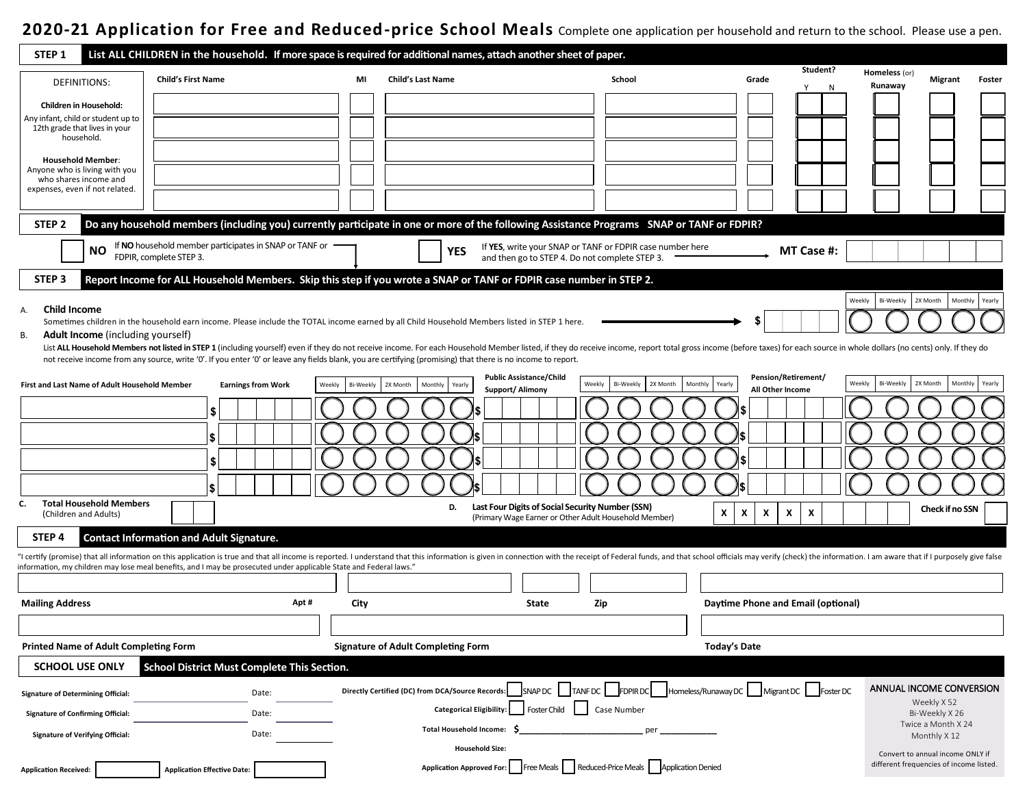## **2020-21 Application for Free and Reduced-price School Meals** Complete one application per household and return to the school. Please use a pen.

| STEP <sub>1</sub>                                             |                                                                                                                    |                     | List ALL CHILDREN in the household. If more space is required for additional names, attach another sheet of paper.                                                                                                             |                                                    |                                                          |                        |                    |                                        |
|---------------------------------------------------------------|--------------------------------------------------------------------------------------------------------------------|---------------------|--------------------------------------------------------------------------------------------------------------------------------------------------------------------------------------------------------------------------------|----------------------------------------------------|----------------------------------------------------------|------------------------|--------------------|----------------------------------------|
| <b>DEFINITIONS:</b>                                           | <b>Child's First Name</b>                                                                                          | MI                  | <b>Child's Last Name</b>                                                                                                                                                                                                       | School                                             | Grade                                                    | Student?               | Homeless (or)      | Migrant<br>Foster                      |
|                                                               |                                                                                                                    |                     |                                                                                                                                                                                                                                |                                                    |                                                          | N                      | Runaway            |                                        |
| Children in Household:<br>Any infant, child or student up to  |                                                                                                                    |                     |                                                                                                                                                                                                                                |                                                    |                                                          |                        |                    |                                        |
| 12th grade that lives in your<br>household.                   |                                                                                                                    |                     |                                                                                                                                                                                                                                |                                                    |                                                          |                        |                    |                                        |
| <b>Household Member:</b>                                      |                                                                                                                    |                     |                                                                                                                                                                                                                                |                                                    |                                                          |                        |                    |                                        |
| Anyone who is living with you<br>who shares income and        |                                                                                                                    |                     |                                                                                                                                                                                                                                |                                                    |                                                          |                        |                    |                                        |
| expenses, even if not related.                                |                                                                                                                    |                     |                                                                                                                                                                                                                                |                                                    |                                                          |                        |                    |                                        |
|                                                               |                                                                                                                    |                     |                                                                                                                                                                                                                                |                                                    |                                                          |                        |                    |                                        |
| STEP <sub>2</sub>                                             |                                                                                                                    |                     | Do any household members (including you) currently participate in one or more of the following Assistance Programs SNAP or TANF or FDPIR?                                                                                      |                                                    |                                                          |                        |                    |                                        |
| ΝO                                                            | If NO household member participates in SNAP or TANF or<br>FDPIR, complete STEP 3.                                  |                     | If YES, write your SNAP or TANF or FDPIR case number here<br>YES<br>and then go to STEP 4. Do not complete STEP 3.                                                                                                             |                                                    |                                                          | MT Case #:             |                    |                                        |
| STEP <sub>3</sub>                                             |                                                                                                                    |                     | Report Income for ALL Household Members. Skip this step if you wrote a SNAP or TANF or FDPIR case number in STEP 2.                                                                                                            |                                                    |                                                          |                        |                    |                                        |
| <b>Child Income</b><br>А.                                     |                                                                                                                    |                     |                                                                                                                                                                                                                                |                                                    |                                                          | Weekly                 | Bi-Weekly 2X Month | Monthly Yearly                         |
|                                                               |                                                                                                                    |                     | Sometimes children in the household earn income. Please include the TOTAL income earned by all Child Household Members listed in STEP 1 here.                                                                                  |                                                    |                                                          |                        |                    |                                        |
| <b>Adult Income</b> (including yourself)<br>В.                |                                                                                                                    |                     | List ALL Household Members not listed in STEP 1 (including yourself) even if they do not receive income. For each Household Member listed, if they do receive income, report total gross income (before taxes) for each source |                                                    |                                                          |                        |                    |                                        |
|                                                               |                                                                                                                    |                     | not receive income from any source, write '0'. If you enter '0' or leave any fields blank, you are certifying (promising) that there is no income to report.                                                                   |                                                    |                                                          |                        |                    |                                        |
| First and Last Name of Adult Household Member                 | <b>Earnings from Work</b>                                                                                          | Bi-Weekly<br>Weekly | <b>Public Assistance/Child</b><br>2X Month<br>Weekly<br>Monthly<br>Yearly<br>Support/ Alimony                                                                                                                                  | Bi-Weekly<br>2X Month<br>Monthly                   | <b>Pension/Retirement/</b><br>Yearly<br>All Other Income | Weekly                 | Bi-Weekly          | 2X Month<br>Monthly<br>Yearly          |
|                                                               |                                                                                                                    |                     |                                                                                                                                                                                                                                |                                                    |                                                          |                        |                    |                                        |
|                                                               | 5                                                                                                                  |                     |                                                                                                                                                                                                                                |                                                    |                                                          |                        |                    |                                        |
|                                                               | l \$                                                                                                               |                     |                                                                                                                                                                                                                                |                                                    |                                                          |                        |                    |                                        |
|                                                               | \$                                                                                                                 |                     |                                                                                                                                                                                                                                |                                                    |                                                          |                        |                    |                                        |
|                                                               | l S                                                                                                                |                     |                                                                                                                                                                                                                                |                                                    |                                                          |                        |                    |                                        |
| <b>Total Household Members</b><br>C.<br>(Children and Adults) |                                                                                                                    |                     | Last Four Digits of Social Security Number (SSN)<br>D.<br>(Primary Wage Earner or Other Adult Household Member)                                                                                                                |                                                    | X<br>Χ<br>X<br>X                                         | x                      |                    | Check if no SSN                        |
| STEP <sub>4</sub>                                             | <b>Contact Information and Adult Signature.</b>                                                                    |                     |                                                                                                                                                                                                                                |                                                    |                                                          |                        |                    |                                        |
|                                                               |                                                                                                                    |                     | I certify (promise) that all information on this application is true and that all income is reported. I understand that this information is given in connection with the receipt of Federal funds, and that school officials m |                                                    |                                                          |                        |                    |                                        |
|                                                               | information, my children may lose meal benefits, and I may be prosecuted under applicable State and Federal laws." |                     |                                                                                                                                                                                                                                |                                                    |                                                          |                        |                    |                                        |
| <b>Mailing Address</b>                                        | Apt#                                                                                                               | City                | State<br>Zip                                                                                                                                                                                                                   |                                                    | Daytime Phone and Email (optional)                       |                        |                    |                                        |
|                                                               |                                                                                                                    |                     |                                                                                                                                                                                                                                |                                                    |                                                          |                        |                    |                                        |
| <b>Printed Name of Adult Completing Form</b>                  |                                                                                                                    |                     | <b>Signature of Adult Completing Form</b>                                                                                                                                                                                      |                                                    | <b>Today's Date</b>                                      |                        |                    |                                        |
| <b>SCHOOL USE ONLY</b>                                        | School District Must Complete This Section.                                                                        |                     |                                                                                                                                                                                                                                |                                                    |                                                          |                        |                    |                                        |
| <b>Signature of Determining Official:</b>                     | Date:                                                                                                              |                     | Directly Certified (DC) from DCA/Source Records:                                                                                                                                                                               | SNAP DC   TANF DC   FDPIR DC   Homeless/Runaway DC |                                                          | Migrant DC   Foster DC |                    | ANNUAL INCOME CONVERSION               |
| <b>Signature of Confirming Official:</b>                      | Date:                                                                                                              |                     | <b>Foster Child</b><br><b>Categorical Eligibility:</b>                                                                                                                                                                         | Case Number                                        |                                                          |                        |                    | Weekly X 52<br>Bi-Weekly X 26          |
| <b>Signature of Verifying Official:</b>                       | Date:                                                                                                              |                     | <b>Total Household Income:</b>                                                                                                                                                                                                 |                                                    |                                                          |                        |                    | Twice a Month X 24<br>Monthly X 12     |
|                                                               |                                                                                                                    |                     | <b>Household Size:</b>                                                                                                                                                                                                         |                                                    |                                                          |                        |                    | Convert to annual income ONLY if       |
| <b>Application Received:</b>                                  | <b>Application Effective Date:</b>                                                                                 |                     | Application Approved For: Free Meals   Reduced-Price Meals   Application Denied                                                                                                                                                |                                                    |                                                          |                        |                    | different frequencies of income listed |